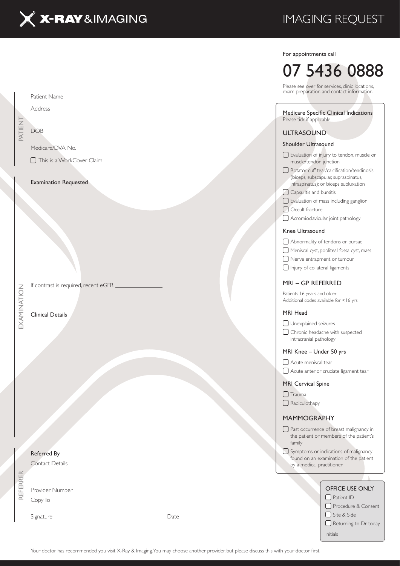

Patient Name

Medicare/DVA No.

Examination Requested

□ This is a WorkCover Claim

Address

DOB

PATIENT

## IMAGING REQUEST

#### For appointments call

# 07 5436 0888

Please see over for services, clinic locations, exam preparation and contact information.

#### Medicare Specific Clinical Indications Please tick if applicable

#### ULTRASOUND

#### Shoulder Ultrasound

- Evaluation of injury to tendon, muscle or muscle/tendon junction  $\Box$  Rotator cuff tear/calcification/tendinosis (biceps, subscapular, supraspinatus, infraspinatus); or biceps subluxation
- Capsulitis and bursitis
- Evaluation of mass including ganglion
- Occult fracture
- Acromioclavicular joint pathology

#### Knee Ultrasound

Abnormality of tendons or bursae

Meniscal cyst, popliteal fossa cyst, mass

Nerve entrapment or tumour

 $\Box$  Injury of collateral ligaments

#### MRI – GP REFERRED

Patients 16 years and older Additional codes available for <16 yrs

#### MRI Head

Unexplained seizures

Chronic headache with suspected intracranial pathology

#### MRI Knee – Under 50 yrs

Acute meniscal tear

Acute anterior cruciate ligament tear

#### MRI Cervical Spine

 $\Box$  Trauma

□ Radiculothapy

#### MAMMOGRAPHY

Past occurrence of breast malignancy in the patient or members of the patient's family

Symptoms or indications of malignancy found on an examination of the patient by a medical practitioner

|      | OFFICE USE ONLY       |
|------|-----------------------|
|      | $\Box$ Patient ID     |
|      | □ Procedure & Consent |
| Date | Site & Side           |
|      | Returning to Dr today |
|      | <b>Initials</b>       |
|      |                       |

Your doctor has recommended you visit X-Ray & Imaging. You may choose another provider, but please discuss this with your doctor first.

Clinical Details

EXAMINATION

If contrast is required, recent eGFR.

REFERRER EXAMINATION Referred By Contact Details REFERRER